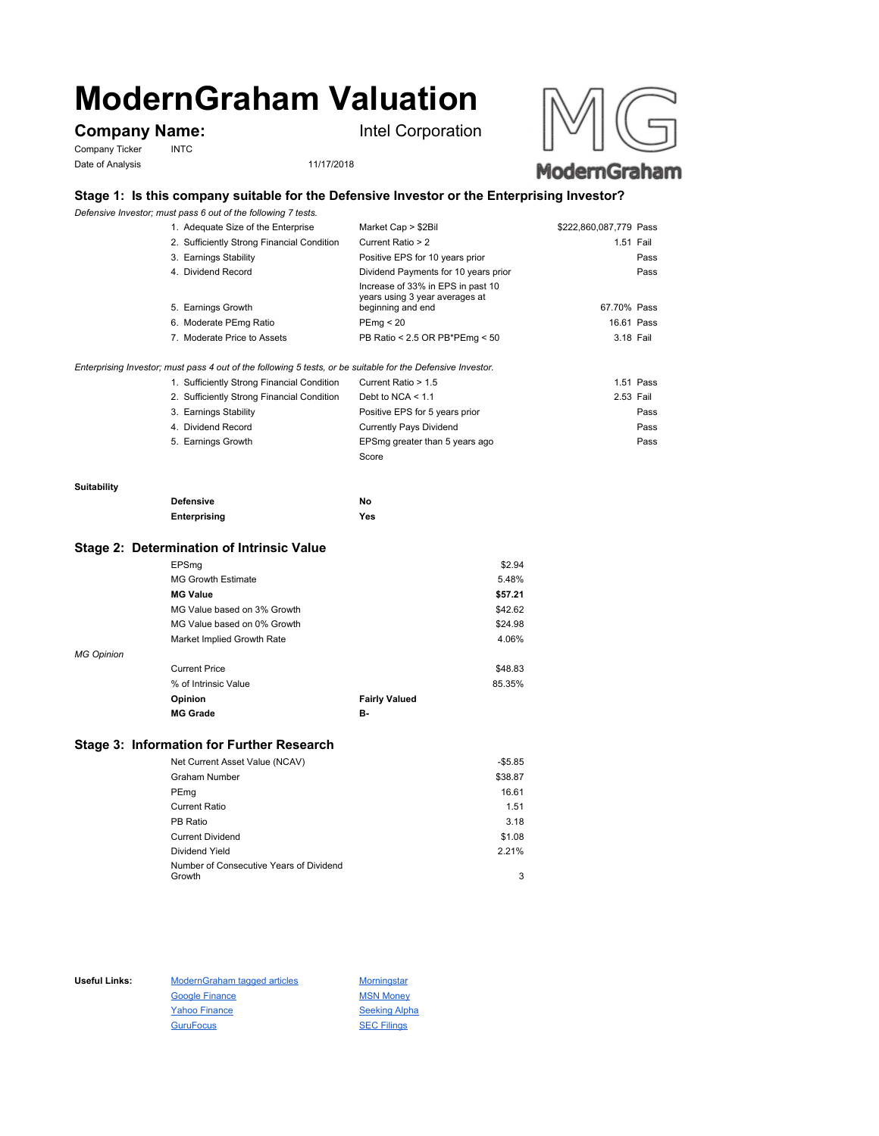# **ModernGraham Valuation**

## **Company Name:** Intel Corporation

Company Ticker INTC Date of Analysis 11/17/2018





## **Stage 1: Is this company suitable for the Defensive Investor or the Enterprising Investor?**

*Defensive Investor; must pass 6 out of the following 7 tests.*

| 1. Adequate Size of the Enterprise         | Market Cap > \$2Bil                                                                      | \$222,860,087,779 Pass |
|--------------------------------------------|------------------------------------------------------------------------------------------|------------------------|
| 2. Sufficiently Strong Financial Condition | Current Ratio > 2                                                                        | 1.51 Fail              |
| 3. Earnings Stability                      | Positive EPS for 10 years prior                                                          | Pass                   |
| 4. Dividend Record                         | Dividend Payments for 10 years prior                                                     | Pass                   |
| 5. Earnings Growth                         | Increase of 33% in EPS in past 10<br>years using 3 year averages at<br>beginning and end | 67.70% Pass            |
| 6. Moderate PEmg Ratio                     | PEmg < 20                                                                                | 16.61 Pass             |
| 7. Moderate Price to Assets                | PB Ratio < 2.5 OR PB*PEmg < 50                                                           | 3.18 Fail              |
|                                            |                                                                                          |                        |
|                                            |                                                                                          |                        |

*Enterprising Investor; must pass 4 out of the following 5 tests, or be suitable for the Defensive Investor.*

| 1. Sufficiently Strong Financial Condition | Current Ratio > 1.5            | 1.51 Pass |
|--------------------------------------------|--------------------------------|-----------|
| 2. Sufficiently Strong Financial Condition | Debt to NCA $<$ 1.1            | 2.53 Fail |
| 3. Earnings Stability                      | Positive EPS for 5 years prior | Pass      |
| 4. Dividend Record                         | <b>Currently Pays Dividend</b> | Pass      |
| 5. Earnings Growth                         | EPSmg greater than 5 years ago | Pass      |
|                                            | Score                          |           |

#### **Suitability**

| <b>Defensive</b> | Νo  |
|------------------|-----|
| Enterprising     | Yes |

#### **Stage 2: Determination of Intrinsic Value**

|                   | EPSmg                       |                      | \$2.94  |
|-------------------|-----------------------------|----------------------|---------|
|                   | <b>MG Growth Estimate</b>   |                      | 5.48%   |
|                   | <b>MG Value</b>             |                      | \$57.21 |
|                   | MG Value based on 3% Growth |                      | \$42.62 |
|                   | MG Value based on 0% Growth |                      | \$24.98 |
|                   | Market Implied Growth Rate  |                      | 4.06%   |
| <b>MG Opinion</b> |                             |                      |         |
|                   | <b>Current Price</b>        |                      | \$48.83 |
|                   | % of Intrinsic Value        |                      | 85.35%  |
|                   | Opinion                     | <b>Fairly Valued</b> |         |
|                   | <b>MG Grade</b>             | в.                   |         |
|                   |                             |                      |         |

## **Stage 3: Information for Further Research**

| Net Current Asset Value (NCAV)          | $-$5.85$ |
|-----------------------------------------|----------|
| Graham Number                           | \$38.87  |
| PEmg                                    | 16.61    |
| Current Ratio                           | 1.51     |
| PB Ratio                                | 3.18     |
| <b>Current Dividend</b>                 | \$1.08   |
| Dividend Yield                          | 2.21%    |
| Number of Consecutive Years of Dividend |          |
| Growth                                  | 3        |

Useful Links: ModernGraham tagged articles Morningstar Google Finance MSN Money Yahoo Finance Seeking Alpha GuruFocus SEC Filings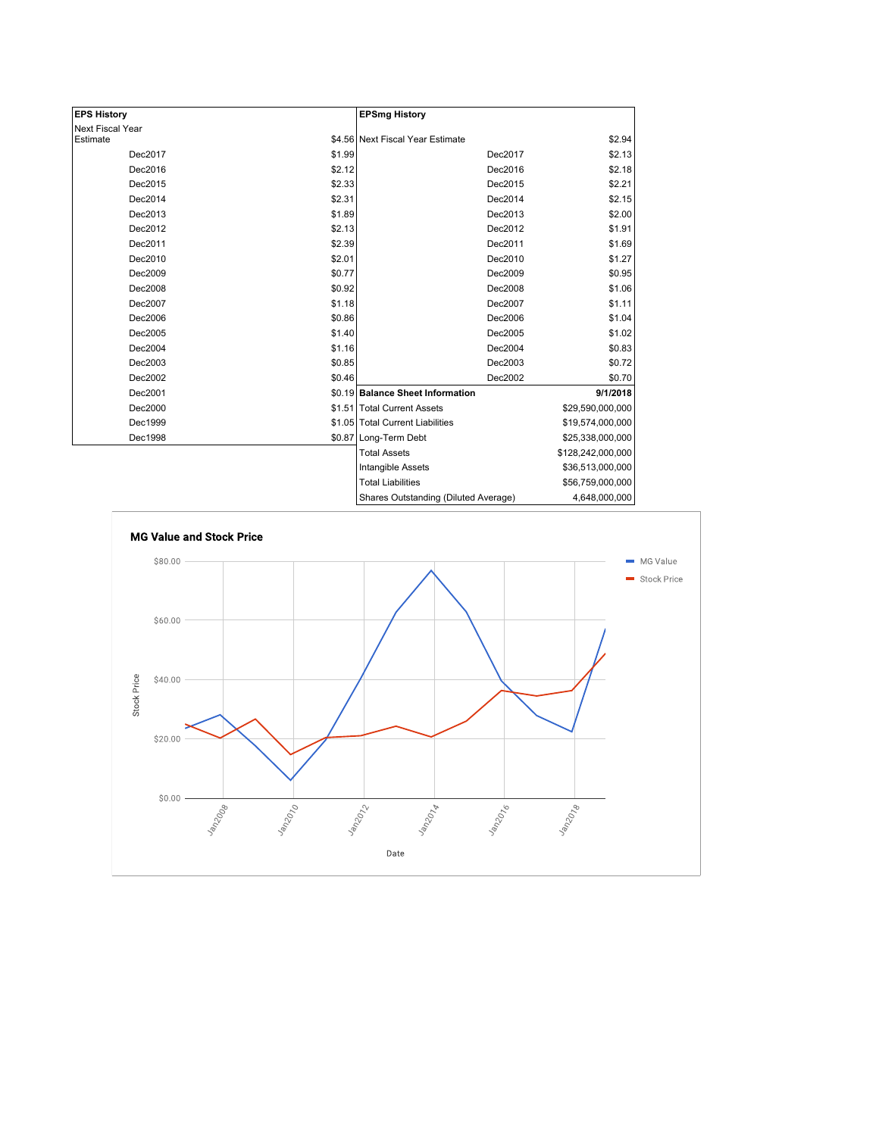| <b>EPS History</b> |        | <b>EPSmg History</b>                 |                   |
|--------------------|--------|--------------------------------------|-------------------|
| Next Fiscal Year   |        |                                      |                   |
| Estimate           |        | \$4.56 Next Fiscal Year Estimate     | \$2.94            |
| Dec2017            | \$1.99 | Dec2017                              | \$2.13            |
| Dec2016            | \$2.12 | Dec2016                              | \$2.18            |
| Dec2015            | \$2.33 | Dec2015                              | \$2.21            |
| Dec2014            | \$2.31 | Dec2014                              | \$2.15            |
| Dec2013            | \$1.89 | Dec2013                              | \$2.00            |
| Dec2012            | \$2.13 | Dec2012                              | \$1.91            |
| Dec2011            | \$2.39 | Dec2011                              | \$1.69            |
| Dec2010            | \$2.01 | Dec2010                              | \$1.27            |
| Dec2009            | \$0.77 | Dec2009                              | \$0.95            |
| Dec2008            | \$0.92 | Dec2008                              | \$1.06            |
| Dec2007            | \$1.18 | Dec2007                              | \$1.11            |
| Dec2006            | \$0.86 | Dec2006                              | \$1.04            |
| Dec2005            | \$1.40 | Dec2005                              | \$1.02            |
| Dec2004            | \$1.16 | Dec2004                              | \$0.83            |
| Dec2003            | \$0.85 | Dec2003                              | \$0.72            |
| Dec2002            | \$0.46 | Dec2002                              | \$0.70            |
| Dec2001            |        | \$0.19 Balance Sheet Information     | 9/1/2018          |
| Dec2000            |        | \$1.51 Total Current Assets          | \$29,590,000,000  |
| Dec1999            |        | \$1.05 Total Current Liabilities     | \$19,574,000,000  |
| Dec1998            |        | \$0.87 Long-Term Debt                | \$25,338,000,000  |
|                    |        | <b>Total Assets</b>                  | \$128,242,000,000 |
|                    |        | <b>Intangible Assets</b>             | \$36,513,000,000  |
|                    |        | <b>Total Liabilities</b>             | \$56,759,000,000  |
|                    |        | Sharee Outetanding (Diluted Average) | A GAR OOO OOO     |